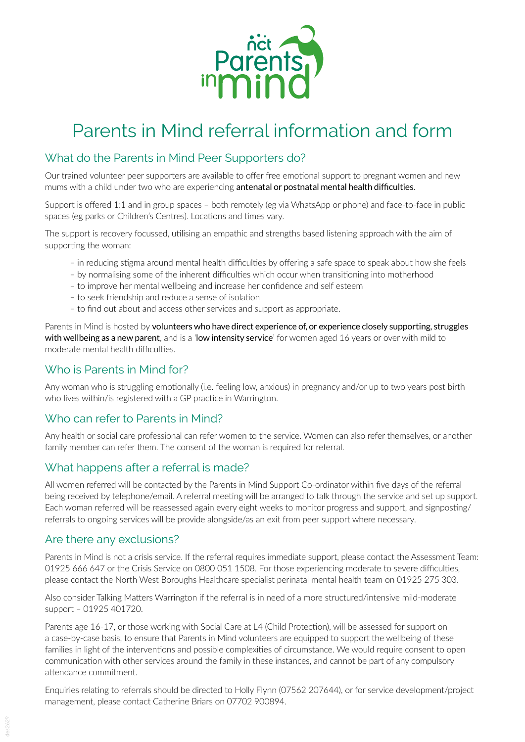

## Parents in Mind referral information and form

### What do the Parents in Mind Peer Supporters do?

Our trained volunteer peer supporters are available to offer free emotional support to pregnant women and new mums with a child under two who are experiencing antenatal or postnatal mental health difficulties.

Support is offered 1:1 and in group spaces – both remotely (eg via WhatsApp or phone) and face-to-face in public spaces (eg parks or Children's Centres). Locations and times vary.

The support is recovery focussed, utilising an empathic and strengths based listening approach with the aim of supporting the woman:

- in reducing stigma around mental health difficulties by offering a safe space to speak about how she feels
- by normalising some of the inherent difficulties which occur when transitioning into motherhood
- to improve her mental wellbeing and increase her confidence and self esteem
- to seek friendship and reduce a sense of isolation
- to find out about and access other services and support as appropriate.

Parents in Mind is hosted by volunteers who have direct experience of, or experience closely supporting, struggles with wellbeing as a new parent, and is a 'low intensity service' for women aged 16 years or over with mild to moderate mental health difficulties.

#### Who is Parents in Mind for?

Any woman who is struggling emotionally (i.e. feeling low, anxious) in pregnancy and/or up to two years post birth who lives within/is registered with a GP practice in Warrington.

### Who can refer to Parents in Mind?

Any health or social care professional can refer women to the service. Women can also refer themselves, or another family member can refer them. The consent of the woman is required for referral.

### What happens after a referral is made?

All women referred will be contacted by the Parents in Mind Support Co-ordinator within five days of the referral being received by telephone/email. A referral meeting will be arranged to talk through the service and set up support. Each woman referred will be reassessed again every eight weeks to monitor progress and support, and signposting/ referrals to ongoing services will be provide alongside/as an exit from peer support where necessary.

#### Are there any exclusions?

Parents in Mind is not a crisis service. If the referral requires immediate support, please contact the Assessment Team: 01925 666 647 or the Crisis Service on 0800 051 1508. For those experiencing moderate to severe difficulties, please contact the North West Boroughs Healthcare specialist perinatal mental health team on 01925 275 303.

Also consider Talking Matters Warrington if the referral is in need of a more structured/intensive mild-moderate support – 01925 401720.

Parents age 16-17, or those working with Social Care at L4 (Child Protection), will be assessed for support on a case-by-case basis, to ensure that Parents in Mind volunteers are equipped to support the wellbeing of these families in light of the interventions and possible complexities of circumstance. We would require consent to open communication with other services around the family in these instances, and cannot be part of any compulsory attendance commitment.

Enquiries relating to referrals should be directed to Holly Flynn (07562 207644), or for service development/project management, please contact Catherine Briars on 07702 900894.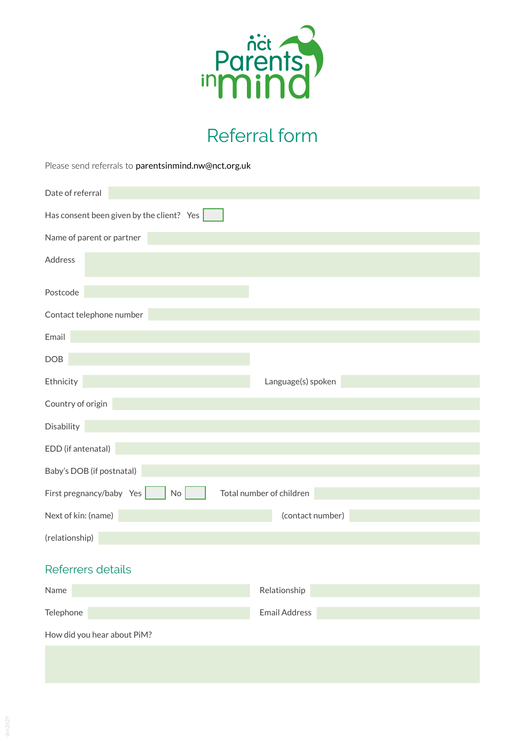

# Referral form

Please send referrals to [parentsinmind.nw@nct.org.uk](mailto:parentsinmind.nw%40nct.org.uk?subject=)

| Date of referral                                           |                    |
|------------------------------------------------------------|--------------------|
| Has consent been given by the client? Yes                  |                    |
| Name of parent or partner                                  |                    |
| Address                                                    |                    |
| Postcode                                                   |                    |
| Contact telephone number                                   |                    |
| Email                                                      |                    |
| DOB                                                        |                    |
| Ethnicity                                                  | Language(s) spoken |
| Country of origin                                          |                    |
| Disability                                                 |                    |
| EDD (if antenatal)                                         |                    |
| Baby's DOB (if postnatal)                                  |                    |
| First pregnancy/baby Yes<br>Total number of children<br>No |                    |
| Next of kin: (name)                                        | (contact number)   |
| (relationship)                                             |                    |
| Referrers details                                          |                    |
| Name                                                       | Relationship       |
| Telephone                                                  | Email Address      |
| How did you hear about PiM?                                |                    |
|                                                            |                    |